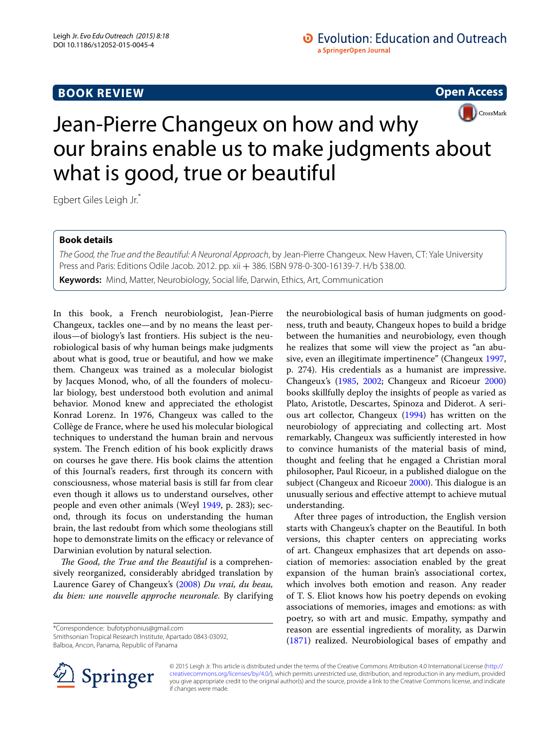## **BOOK REVIEW**

**Open Access**



# Jean-Pierre Changeux on how and why our brains enable us to make judgments about what is good, true or beautiful

Egbert Giles Leigh Jr.\*

### **Book details**

*The Good, the True and the Beautiful: A Neuronal Approach*, by Jean-Pierre Changeux. New Haven, CT: Yale University Press and Paris: Editions Odile Jacob. 2012. pp. xii + 386. ISBN 978-0-300-16139-7. H/b \$38.00. **Keywords:** Mind, Matter, Neurobiology, Social life, Darwin, Ethics, Art, Communication

In this book, a French neurobiologist, Jean-Pierre Changeux, tackles one—and by no means the least perilous—of biology's last frontiers. His subject is the neurobiological basis of why human beings make judgments about what is good, true or beautiful, and how we make them. Changeux was trained as a molecular biologist by Jacques Monod, who, of all the founders of molecular biology, best understood both evolution and animal behavior. Monod knew and appreciated the ethologist Konrad Lorenz. In 1976, Changeux was called to the Collège de France, where he used his molecular biological techniques to understand the human brain and nervous system. The French edition of his book explicitly draws on courses he gave there. His book claims the attention of this Journal's readers, first through its concern with consciousness, whose material basis is still far from clear even though it allows us to understand ourselves, other people and even other animals (Weyl [1949,](#page-5-0) p. 283); second, through its focus on understanding the human brain, the last redoubt from which some theologians still hope to demonstrate limits on the efficacy or relevance of Darwinian evolution by natural selection.

*The Good, the True and the Beautiful* is a comprehensively reorganized, considerably abridged translation by Laurence Garey of Changeux's [\(2008](#page-5-1)) *Du vrai, du beau, du bien: une nouvelle approche neuronale.* By clarifying

\*Correspondence: bufotyphonius@gmail.com Smithsonian Tropical Research Institute, Apartado 0843-03092, Balboa, Ancon, Panama, Republic of Panama

the neurobiological basis of human judgments on goodness, truth and beauty, Changeux hopes to build a bridge between the humanities and neurobiology, even though he realizes that some will view the project as "an abusive, even an illegitimate impertinence" (Changeux [1997](#page-5-2), p. 274). His credentials as a humanist are impressive. Changeux's ([1985](#page-5-3), [2002;](#page-5-4) Changeux and Ricoeur [2000](#page-5-5)) books skillfully deploy the insights of people as varied as Plato, Aristotle, Descartes, Spinoza and Diderot. A serious art collector, Changeux ([1994](#page-5-6)) has written on the neurobiology of appreciating and collecting art. Most remarkably, Changeux was sufficiently interested in how to convince humanists of the material basis of mind, thought and feeling that he engaged a Christian moral philosopher, Paul Ricoeur, in a published dialogue on the subject (Changeux and Ricoeur [2000](#page-5-5)). This dialogue is an unusually serious and effective attempt to achieve mutual understanding.

After three pages of introduction, the English version starts with Changeux's chapter on the Beautiful. In both versions, this chapter centers on appreciating works of art. Changeux emphasizes that art depends on association of memories: association enabled by the great expansion of the human brain's associational cortex, which involves both emotion and reason. Any reader of T. S. Eliot knows how his poetry depends on evoking associations of memories, images and emotions: as with poetry, so with art and music. Empathy, sympathy and reason are essential ingredients of morality, as Darwin ([1871\)](#page-5-7) realized. Neurobiological bases of empathy and



© 2015 Leigh Jr. This article is distributed under the terms of the Creative Commons Attribution 4.0 International License [\(http://](http://creativecommons.org/licenses/by/4.0/) [creativecommons.org/licenses/by/4.0/](http://creativecommons.org/licenses/by/4.0/)), which permits unrestricted use, distribution, and reproduction in any medium, provided you give appropriate credit to the original author(s) and the source, provide a link to the Creative Commons license, and indicate if changes were made.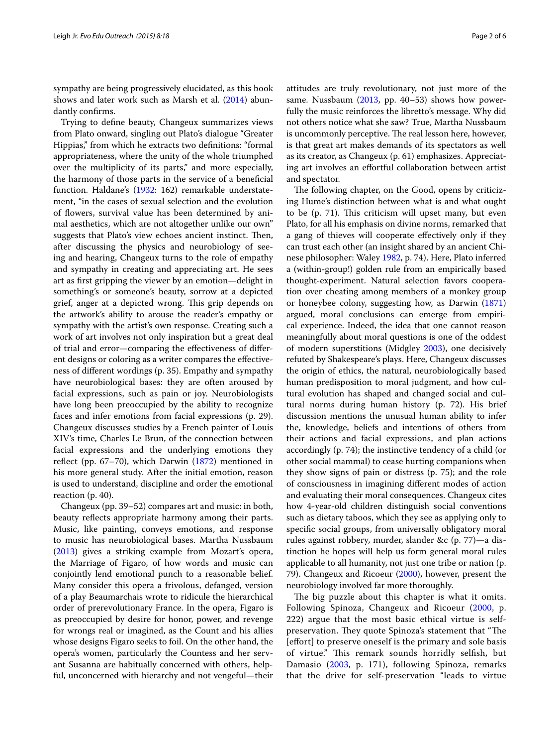sympathy are being progressively elucidated, as this book shows and later work such as Marsh et al. [\(2014](#page-5-8)) abundantly confirms.

Trying to define beauty, Changeux summarizes views from Plato onward, singling out Plato's dialogue "Greater Hippias," from which he extracts two definitions: "formal appropriateness, where the unity of the whole triumphed over the multiplicity of its parts," and more especially, the harmony of those parts in the service of a beneficial function. Haldane's ([1932:](#page-5-9) 162) remarkable understatement, "in the cases of sexual selection and the evolution of flowers, survival value has been determined by animal aesthetics, which are not altogether unlike our own" suggests that Plato's view echoes ancient instinct. Then, after discussing the physics and neurobiology of seeing and hearing, Changeux turns to the role of empathy and sympathy in creating and appreciating art. He sees art as first gripping the viewer by an emotion—delight in something's or someone's beauty, sorrow at a depicted grief, anger at a depicted wrong. This grip depends on the artwork's ability to arouse the reader's empathy or sympathy with the artist's own response. Creating such a work of art involves not only inspiration but a great deal of trial and error—comparing the effectiveness of different designs or coloring as a writer compares the effectiveness of different wordings (p. 35). Empathy and sympathy have neurobiological bases: they are often aroused by facial expressions, such as pain or joy. Neurobiologists have long been preoccupied by the ability to recognize faces and infer emotions from facial expressions (p. 29). Changeux discusses studies by a French painter of Louis XIV's time, Charles Le Brun, of the connection between facial expressions and the underlying emotions they reflect (pp. 67–70), which Darwin ([1872](#page-5-10)) mentioned in his more general study. After the initial emotion, reason is used to understand, discipline and order the emotional reaction (p. 40).

Changeux (pp. 39–52) compares art and music: in both, beauty reflects appropriate harmony among their parts. Music, like painting, conveys emotions, and response to music has neurobiological bases. Martha Nussbaum ([2013\)](#page-5-11) gives a striking example from Mozart's opera, the Marriage of Figaro, of how words and music can conjointly lend emotional punch to a reasonable belief. Many consider this opera a frivolous, defanged, version of a play Beaumarchais wrote to ridicule the hierarchical order of prerevolutionary France. In the opera, Figaro is as preoccupied by desire for honor, power, and revenge for wrongs real or imagined, as the Count and his allies whose designs Figaro seeks to foil. On the other hand, the opera's women, particularly the Countess and her servant Susanna are habitually concerned with others, helpful, unconcerned with hierarchy and not vengeful—their

attitudes are truly revolutionary, not just more of the same. Nussbaum ([2013,](#page-5-11) pp. 40-53) shows how powerfully the music reinforces the libretto's message. Why did not others notice what she saw? True, Martha Nussbaum is uncommonly perceptive. The real lesson here, however, is that great art makes demands of its spectators as well as its creator, as Changeux (p. 61) emphasizes. Appreciating art involves an effortful collaboration between artist and spectator.

The following chapter, on the Good, opens by criticizing Hume's distinction between what is and what ought to be (p. 71). This criticism will upset many, but even Plato, for all his emphasis on divine norms, remarked that a gang of thieves will cooperate effectively only if they can trust each other (an insight shared by an ancient Chinese philosopher: Waley [1982](#page-5-12), p. 74). Here, Plato inferred a (within-group!) golden rule from an empirically based thought-experiment. Natural selection favors cooperation over cheating among members of a monkey group or honeybee colony, suggesting how, as Darwin ([1871](#page-5-7)) argued, moral conclusions can emerge from empirical experience. Indeed, the idea that one cannot reason meaningfully about moral questions is one of the oddest of modern superstitions (Midgley [2003\)](#page-5-13), one decisively refuted by Shakespeare's plays. Here, Changeux discusses the origin of ethics, the natural, neurobiologically based human predisposition to moral judgment, and how cultural evolution has shaped and changed social and cultural norms during human history (p. 72). His brief discussion mentions the unusual human ability to infer the, knowledge, beliefs and intentions of others from their actions and facial expressions, and plan actions accordingly (p. 74); the instinctive tendency of a child (or other social mammal) to cease hurting companions when they show signs of pain or distress (p. 75); and the role of consciousness in imagining different modes of action and evaluating their moral consequences. Changeux cites how 4-year-old children distinguish social conventions such as dietary taboos, which they see as applying only to specific social groups, from universally obligatory moral rules against robbery, murder, slander &c (p. 77)—a distinction he hopes will help us form general moral rules applicable to all humanity, not just one tribe or nation (p. 79). Changeux and Ricoeur [\(2000](#page-5-5)), however, present the neurobiology involved far more thoroughly.

The big puzzle about this chapter is what it omits. Following Spinoza, Changeux and Ricoeur ([2000](#page-5-5), p. 222) argue that the most basic ethical virtue is selfpreservation. They quote Spinoza's statement that "The [effort] to preserve oneself is the primary and sole basis of virtue." This remark sounds horridly selfish, but Damasio ([2003,](#page-5-14) p. 171), following Spinoza, remarks that the drive for self-preservation "leads to virtue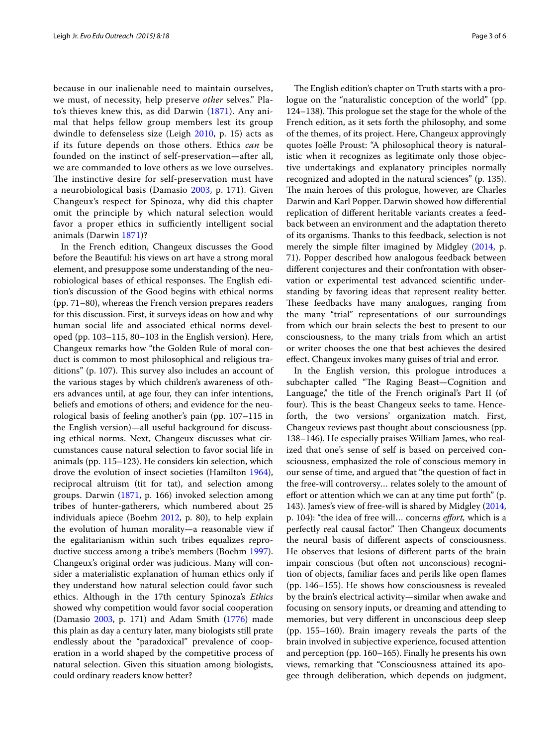because in our inalienable need to maintain ourselves, we must, of necessity, help preserve *other* selves." Plato's thieves knew this, as did Darwin ([1871\)](#page-5-7). Any animal that helps fellow group members lest its group dwindle to defenseless size (Leigh [2010](#page-5-15), p. 15) acts as if its future depends on those others. Ethics *can* be founded on the instinct of self-preservation—after all, we are commanded to love others as we love ourselves. The instinctive desire for self-preservation must have a neurobiological basis (Damasio [2003](#page-5-14), p. 171). Given Changeux's respect for Spinoza, why did this chapter omit the principle by which natural selection would favor a proper ethics in sufficiently intelligent social animals (Darwin [1871\)](#page-5-7)?

In the French edition, Changeux discusses the Good before the Beautiful: his views on art have a strong moral element, and presuppose some understanding of the neurobiological bases of ethical responses. The English edition's discussion of the Good begins with ethical norms (pp. 71–80), whereas the French version prepares readers for this discussion. First, it surveys ideas on how and why human social life and associated ethical norms developed (pp. 103–115, 80–103 in the English version). Here, Changeux remarks how "the Golden Rule of moral conduct is common to most philosophical and religious traditions" (p. 107). This survey also includes an account of the various stages by which children's awareness of others advances until, at age four, they can infer intentions, beliefs and emotions of others; and evidence for the neurological basis of feeling another's pain (pp. 107–115 in the English version)—all useful background for discussing ethical norms. Next, Changeux discusses what circumstances cause natural selection to favor social life in animals (pp. 115–123). He considers kin selection, which drove the evolution of insect societies (Hamilton [1964](#page-5-16)), reciprocal altruism (tit for tat), and selection among groups. Darwin ([1871](#page-5-7), p. 166) invoked selection among tribes of hunter-gatherers, which numbered about 25 individuals apiece (Boehm [2012,](#page-5-17) p. 80), to help explain the evolution of human morality—a reasonable view if the egalitarianism within such tribes equalizes reproductive success among a tribe's members (Boehm [1997](#page-5-18)). Changeux's original order was judicious. Many will consider a materialistic explanation of human ethics only if they understand how natural selection could favor such ethics. Although in the 17th century Spinoza's *Ethics* showed why competition would favor social cooperation (Damasio [2003,](#page-5-14) p. 171) and Adam Smith [\(1776\)](#page-5-19) made this plain as day a century later, many biologists still prate endlessly about the "paradoxical" prevalence of cooperation in a world shaped by the competitive process of natural selection. Given this situation among biologists, could ordinary readers know better?

The English edition's chapter on Truth starts with a prologue on the "naturalistic conception of the world" (pp. 124–138). This prologue set the stage for the whole of the French edition, as it sets forth the philosophy, and some of the themes, of its project. Here, Changeux approvingly quotes Joëlle Proust: "A philosophical theory is naturalistic when it recognizes as legitimate only those objective undertakings and explanatory principles normally recognized and adopted in the natural sciences" (p. 135). The main heroes of this prologue, however, are Charles Darwin and Karl Popper. Darwin showed how differential replication of different heritable variants creates a feedback between an environment and the adaptation thereto of its organisms. Thanks to this feedback, selection is not merely the simple filter imagined by Midgley [\(2014,](#page-5-20) p. 71). Popper described how analogous feedback between different conjectures and their confrontation with observation or experimental test advanced scientific understanding by favoring ideas that represent reality better. These feedbacks have many analogues, ranging from the many "trial" representations of our surroundings from which our brain selects the best to present to our consciousness, to the many trials from which an artist or writer chooses the one that best achieves the desired effect. Changeux invokes many guises of trial and error.

In the English version, this prologue introduces a subchapter called "The Raging Beast—Cognition and Language," the title of the French original's Part II (of four). This is the beast Changeux seeks to tame. Henceforth, the two versions' organization match. First, Changeux reviews past thought about consciousness (pp. 138–146). He especially praises William James, who realized that one's sense of self is based on perceived consciousness, emphasized the role of conscious memory in our sense of time, and argued that "the question of fact in the free-will controversy… relates solely to the amount of effort or attention which we can at any time put forth" (p. 143). James's view of free-will is shared by Midgley ([2014](#page-5-20), p. 104): "the idea of free will… concerns *effort,* which is a perfectly real causal factor." Then Changeux documents the neural basis of different aspects of consciousness. He observes that lesions of different parts of the brain impair conscious (but often not unconscious) recognition of objects, familiar faces and perils like open flames (pp. 146–155). He shows how consciousness is revealed by the brain's electrical activity—similar when awake and focusing on sensory inputs, or dreaming and attending to memories, but very different in unconscious deep sleep (pp. 155–160). Brain imagery reveals the parts of the brain involved in subjective experience, focused attention and perception (pp. 160–165). Finally he presents his own views, remarking that "Consciousness attained its apogee through deliberation, which depends on judgment,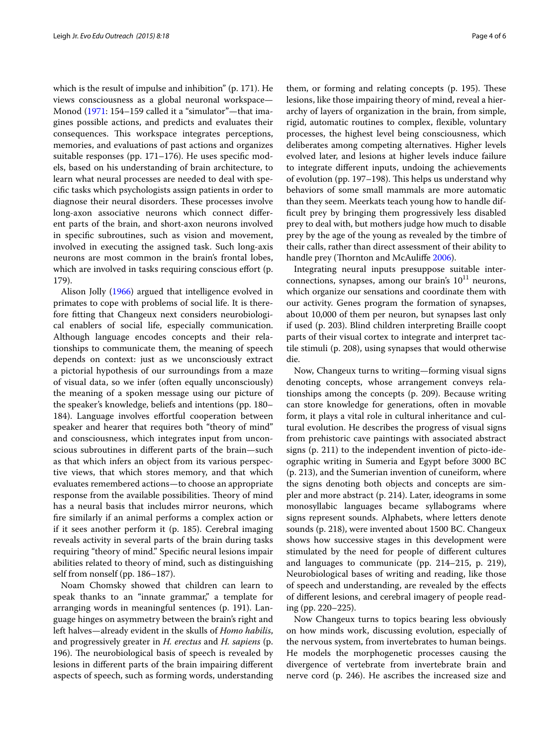which is the result of impulse and inhibition" (p. 171). He views consciousness as a global neuronal workspace— Monod ([1971](#page-5-21): 154–159 called it a "simulator"—that imagines possible actions, and predicts and evaluates their consequences. This workspace integrates perceptions, memories, and evaluations of past actions and organizes suitable responses (pp. 171–176). He uses specific models, based on his understanding of brain architecture, to learn what neural processes are needed to deal with specific tasks which psychologists assign patients in order to diagnose their neural disorders. These processes involve long-axon associative neurons which connect different parts of the brain, and short-axon neurons involved in specific subroutines, such as vision and movement, involved in executing the assigned task. Such long-axis neurons are most common in the brain's frontal lobes, which are involved in tasks requiring conscious effort (p. 179).

Alison Jolly [\(1966](#page-5-22)) argued that intelligence evolved in primates to cope with problems of social life. It is therefore fitting that Changeux next considers neurobiological enablers of social life, especially communication. Although language encodes concepts and their relationships to communicate them, the meaning of speech depends on context: just as we unconsciously extract a pictorial hypothesis of our surroundings from a maze of visual data, so we infer (often equally unconsciously) the meaning of a spoken message using our picture of the speaker's knowledge, beliefs and intentions (pp. 180– 184). Language involves effortful cooperation between speaker and hearer that requires both "theory of mind" and consciousness, which integrates input from unconscious subroutines in different parts of the brain—such as that which infers an object from its various perspective views, that which stores memory, and that which evaluates remembered actions—to choose an appropriate response from the available possibilities. Theory of mind has a neural basis that includes mirror neurons, which fire similarly if an animal performs a complex action or if it sees another perform it (p. 185). Cerebral imaging reveals activity in several parts of the brain during tasks requiring "theory of mind." Specific neural lesions impair abilities related to theory of mind, such as distinguishing self from nonself (pp. 186–187).

Noam Chomsky showed that children can learn to speak thanks to an "innate grammar," a template for arranging words in meaningful sentences (p. 191). Language hinges on asymmetry between the brain's right and left halves—already evident in the skulls of *Homo habilis*, and progressively greater in *H. erectus* and *H. sapiens* (p. 196). The neurobiological basis of speech is revealed by lesions in different parts of the brain impairing different aspects of speech, such as forming words, understanding

them, or forming and relating concepts (p. 195). These lesions, like those impairing theory of mind, reveal a hierarchy of layers of organization in the brain, from simple, rigid, automatic routines to complex, flexible, voluntary processes, the highest level being consciousness, which deliberates among competing alternatives. Higher levels evolved later, and lesions at higher levels induce failure to integrate different inputs, undoing the achievements of evolution (pp. 197–198). This helps us understand why behaviors of some small mammals are more automatic than they seem. Meerkats teach young how to handle difficult prey by bringing them progressively less disabled prey to deal with, but mothers judge how much to disable prey by the age of the young as revealed by the timbre of their calls, rather than direct assessment of their ability to handle prey (Thornton and McAuliffe [2006](#page-5-23)).

Integrating neural inputs presuppose suitable interconnections, synapses, among our brain's  $10^{11}$  neurons, which organize our sensations and coordinate them with our activity. Genes program the formation of synapses, about 10,000 of them per neuron, but synapses last only if used (p. 203). Blind children interpreting Braille coopt parts of their visual cortex to integrate and interpret tactile stimuli (p. 208), using synapses that would otherwise die.

Now, Changeux turns to writing—forming visual signs denoting concepts, whose arrangement conveys relationships among the concepts (p. 209). Because writing can store knowledge for generations, often in movable form, it plays a vital role in cultural inheritance and cultural evolution. He describes the progress of visual signs from prehistoric cave paintings with associated abstract signs (p. 211) to the independent invention of picto-ideographic writing in Sumeria and Egypt before 3000 BC (p. 213), and the Sumerian invention of cuneiform, where the signs denoting both objects and concepts are simpler and more abstract (p. 214). Later, ideograms in some monosyllabic languages became syllabograms where signs represent sounds. Alphabets, where letters denote sounds (p. 218), were invented about 1500 BC. Changeux shows how successive stages in this development were stimulated by the need for people of different cultures and languages to communicate (pp. 214–215, p. 219), Neurobiological bases of writing and reading, like those of speech and understanding, are revealed by the effects of different lesions, and cerebral imagery of people reading (pp. 220–225).

Now Changeux turns to topics bearing less obviously on how minds work, discussing evolution, especially of the nervous system, from invertebrates to human beings. He models the morphogenetic processes causing the divergence of vertebrate from invertebrate brain and nerve cord (p. 246). He ascribes the increased size and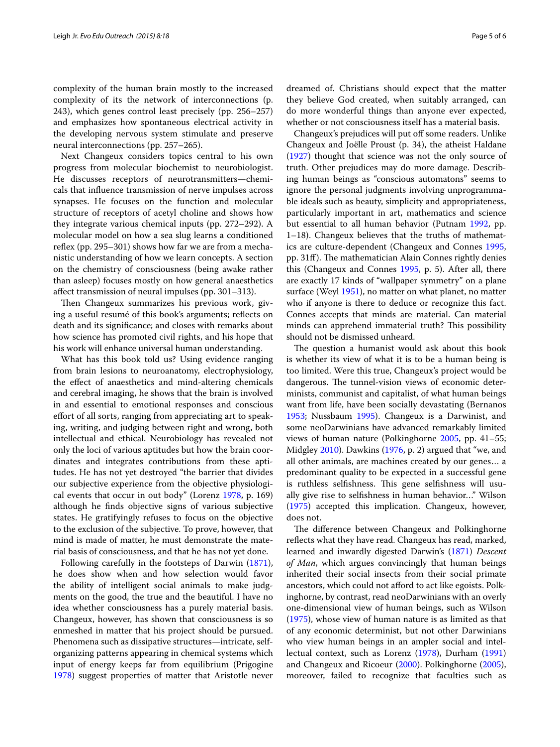complexity of the human brain mostly to the increased complexity of its the network of interconnections (p. 243), which genes control least precisely (pp. 256–257) and emphasizes how spontaneous electrical activity in the developing nervous system stimulate and preserve neural interconnections (pp. 257–265).

Next Changeux considers topics central to his own progress from molecular biochemist to neurobiologist. He discusses receptors of neurotransmitters—chemicals that influence transmission of nerve impulses across synapses. He focuses on the function and molecular structure of receptors of acetyl choline and shows how they integrate various chemical inputs (pp. 272–292). A molecular model on how a sea slug learns a conditioned reflex (pp. 295–301) shows how far we are from a mechanistic understanding of how we learn concepts. A section on the chemistry of consciousness (being awake rather than asleep) focuses mostly on how general anaesthetics affect transmission of neural impulses (pp. 301–313).

Then Changeux summarizes his previous work, giving a useful resumé of this book's arguments; reflects on death and its significance; and closes with remarks about how science has promoted civil rights, and his hope that his work will enhance universal human understanding.

What has this book told us? Using evidence ranging from brain lesions to neuroanatomy, electrophysiology, the effect of anaesthetics and mind-altering chemicals and cerebral imaging, he shows that the brain is involved in and essential to emotional responses and conscious effort of all sorts, ranging from appreciating art to speaking, writing, and judging between right and wrong, both intellectual and ethical. Neurobiology has revealed not only the loci of various aptitudes but how the brain coordinates and integrates contributions from these aptitudes. He has not yet destroyed "the barrier that divides our subjective experience from the objective physiological events that occur in out body" (Lorenz [1978,](#page-5-24) p. 169) although he finds objective signs of various subjective states. He gratifyingly refuses to focus on the objective to the exclusion of the subjective. To prove, however, that mind is made of matter, he must demonstrate the material basis of consciousness, and that he has not yet done.

Following carefully in the footsteps of Darwin [\(1871](#page-5-7)), he does show when and how selection would favor the ability of intelligent social animals to make judgments on the good, the true and the beautiful. I have no idea whether consciousness has a purely material basis. Changeux, however, has shown that consciousness is so enmeshed in matter that his project should be pursued. Phenomena such as dissipative structures—intricate, selforganizing patterns appearing in chemical systems which input of energy keeps far from equilibrium (Prigogine [1978](#page-5-25)) suggest properties of matter that Aristotle never

dreamed of. Christians should expect that the matter they believe God created, when suitably arranged, can do more wonderful things than anyone ever expected, whether or not consciousness itself has a material basis.

Changeux's prejudices will put off some readers. Unlike Changeux and Joëlle Proust (p. 34), the atheist Haldane ([1927\)](#page-5-26) thought that science was not the only source of truth. Other prejudices may do more damage. Describing human beings as "conscious automatons" seems to ignore the personal judgments involving unprogrammable ideals such as beauty, simplicity and appropriateness, particularly important in art, mathematics and science but essential to all human behavior (Putnam [1992](#page-5-27), pp. 1–18). Changeux believes that the truths of mathematics are culture-dependent (Changeux and Connes [1995](#page-5-28), pp. 31ff). The mathematician Alain Connes rightly denies this (Changeux and Connes [1995](#page-5-28), p. 5). After all, there are exactly 17 kinds of "wallpaper symmetry" on a plane surface (Weyl [1951\)](#page-5-29), no matter on what planet, no matter who if anyone is there to deduce or recognize this fact. Connes accepts that minds are material. Can material minds can apprehend immaterial truth? This possibility should not be dismissed unheard.

The question a humanist would ask about this book is whether its view of what it is to be a human being is too limited. Were this true, Changeux's project would be dangerous. The tunnel-vision views of economic determinists, communist and capitalist, of what human beings want from life, have been socially devastating (Bernanos [1953](#page-5-30); Nussbaum [1995](#page-5-31)). Changeux is a Darwinist, and some neoDarwinians have advanced remarkably limited views of human nature (Polkinghorne [2005](#page-5-32), pp. 41–55; Midgley [2010](#page-5-33)). Dawkins [\(1976](#page-5-34), p. 2) argued that "we, and all other animals, are machines created by our genes… a predominant quality to be expected in a successful gene is ruthless selfishness. This gene selfishness will usually give rise to selfishness in human behavior…" Wilson ([1975\)](#page-5-35) accepted this implication. Changeux, however, does not.

The difference between Changeux and Polkinghorne reflects what they have read. Changeux has read, marked, learned and inwardly digested Darwin's ([1871\)](#page-5-7) *Descent of Man*, which argues convincingly that human beings inherited their social insects from their social primate ancestors, which could not afford to act like egoists. Polkinghorne, by contrast, read neoDarwinians with an overly one-dimensional view of human beings, such as Wilson ([1975\)](#page-5-35), whose view of human nature is as limited as that of any economic determinist, but not other Darwinians who view human beings in an ampler social and intellectual context, such as Lorenz ([1978](#page-5-24)), Durham ([1991](#page-5-36)) and Changeux and Ricoeur [\(2000\)](#page-5-5). Polkinghorne [\(2005](#page-5-32)), moreover, failed to recognize that faculties such as